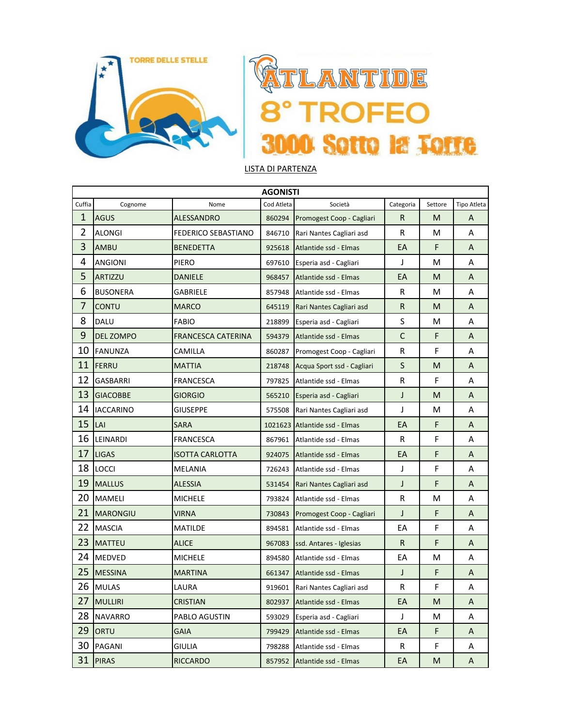

## TLANTIDE VI **ROFEO** 3000 Sotto la Totte

## LISTA DI PARTENZA

|                | <b>AGONISTI</b>  |                           |            |                               |              |         |             |  |  |  |
|----------------|------------------|---------------------------|------------|-------------------------------|--------------|---------|-------------|--|--|--|
| Cuffia         | Cognome          | Nome                      | Cod Atleta | Società                       | Categoria    | Settore | Tipo Atleta |  |  |  |
| 1              | <b>AGUS</b>      | <b>ALESSANDRO</b>         | 860294     | Promogest Coop - Cagliari     | R.           | M       | A           |  |  |  |
| $\overline{2}$ | <b>ALONGI</b>    | FEDERICO SEBASTIANO       | 846710     | Rari Nantes Cagliari asd      | R            | M       | A           |  |  |  |
| 3              | <b>AMBU</b>      | <b>BENEDETTA</b>          | 925618     | Atlantide ssd - Elmas         | EA           | F       | A           |  |  |  |
| 4              | <b>ANGIONI</b>   | PIERO                     | 697610     | Esperia asd - Cagliari        | J            | M       | Α           |  |  |  |
| 5              | <b>ARTIZZU</b>   | <b>DANIELE</b>            | 968457     | Atlantide ssd - Elmas         | EA           | M       | A           |  |  |  |
| 6              | <b>BUSONERA</b>  | GABRIELE                  | 857948     | Atlantide ssd - Elmas         | R            | М       | Α           |  |  |  |
| 7              | <b>CONTU</b>     | <b>MARCO</b>              | 645119     | Rari Nantes Cagliari asd      | ${\sf R}$    | M       | A           |  |  |  |
| 8              | <b>DALU</b>      | <b>FABIO</b>              | 218899     | Esperia asd - Cagliari        | $\sf S$      | M       | A           |  |  |  |
| 9              | <b>DEL ZOMPO</b> | <b>FRANCESCA CATERINA</b> | 594379     | Atlantide ssd - Elmas         | $\mathsf{C}$ | F       | A           |  |  |  |
| 10             | <b>FANUNZA</b>   | CAMILLA                   | 860287     | Promogest Coop - Cagliari     | R            | F       | Α           |  |  |  |
| 11             | FERRU            | <b>MATTIA</b>             | 218748     | Acqua Sport ssd - Cagliari    | $\sf S$      | M       | A           |  |  |  |
| 12             | <b>GASBARRI</b>  | <b>FRANCESCA</b>          | 797825     | Atlantide ssd - Elmas         | R            | F       | Α           |  |  |  |
| 13             | <b>GIACOBBE</b>  | <b>GIORGIO</b>            | 565210     | Esperia asd - Cagliari        | J            | M       | A           |  |  |  |
| 14             | <b>IACCARINO</b> | GIUSEPPE                  | 575508     | Rari Nantes Cagliari asd      | J            | М       | Α           |  |  |  |
| 15             | LAI              | <b>SARA</b>               |            | 1021623 Atlantide ssd - Elmas | EA           | F       | A           |  |  |  |
| 16             | LEINARDI         | <b>FRANCESCA</b>          | 867961     | Atlantide ssd - Elmas         | R            | F       | Α           |  |  |  |
| 17             | <b>LIGAS</b>     | <b>ISOTTA CARLOTTA</b>    | 924075     | Atlantide ssd - Elmas         | EA           | F       | A           |  |  |  |
| 18             | <b>LOCCI</b>     | <b>MELANIA</b>            | 726243     | Atlantide ssd - Elmas         | J            | F       | Α           |  |  |  |
| 19             | <b>MALLUS</b>    | <b>ALESSIA</b>            | 531454     | Rari Nantes Cagliari asd      | J            | F       | A           |  |  |  |
| 20             | <b>MAMELI</b>    | <b>MICHELE</b>            | 793824     | Atlantide ssd - Elmas         | R            | M       | Α           |  |  |  |
| 21             | <b>MARONGIU</b>  | <b>VIRNA</b>              | 730843     | Promogest Coop - Cagliari     | J            | F       | A           |  |  |  |
| 22             | <b>MASCIA</b>    | MATILDE                   | 894581     | Atlantide ssd - Elmas         | EA           | F       | Α           |  |  |  |
| 23             | <b>MATTEU</b>    | <b>ALICE</b>              | 967083     | ssd. Antares - Iglesias       | R.           | F       | A           |  |  |  |
| 24             | <b>MEDVED</b>    | <b>MICHELE</b>            | 894580     | Atlantide ssd - Elmas         | EA           | M       | Α           |  |  |  |
| 25             | <b>MESSINA</b>   | <b>MARTINA</b>            | 661347     | Atlantide ssd - Elmas         | J            | F       | A           |  |  |  |
| 26             | <b>MULAS</b>     | LAURA                     | 919601     | Rari Nantes Cagliari asd      | R            | F       | Α           |  |  |  |
| 27             | <b>MULLIRI</b>   | <b>CRISTIAN</b>           | 802937     | Atlantide ssd - Elmas         | EA           | M       | A           |  |  |  |
| 28             | <b>NAVARRO</b>   | PABLO AGUSTIN             | 593029     | Esperia asd - Cagliari        | J            | M       | Α           |  |  |  |
| 29             | ORTU             | <b>GAIA</b>               | 799429     | Atlantide ssd - Elmas         | EA           | F       | A           |  |  |  |
| 30             | PAGANI           | <b>GIULIA</b>             | 798288     | Atlantide ssd - Elmas         | R            | F       | Α           |  |  |  |
| 31             | <b>PIRAS</b>     | <b>RICCARDO</b>           | 857952     | Atlantide ssd - Elmas         | EA           | M       | A           |  |  |  |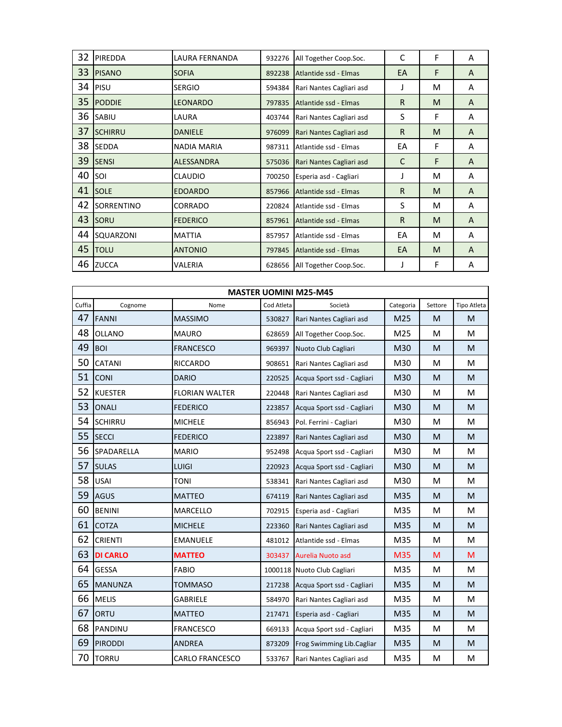| 32 | <b>PIREDDA</b> | LAURA FERNANDA    | 932276 | All Together Coop.Soc.   | C            | F | A              |
|----|----------------|-------------------|--------|--------------------------|--------------|---|----------------|
| 33 | <b>PISANO</b>  | <b>SOFIA</b>      | 892238 | Atlantide ssd - Elmas    | EA           | F | A              |
| 34 | PISU           | <b>SERGIO</b>     | 594384 | Rari Nantes Cagliari asd | J            | M | A              |
| 35 | <b>PODDIE</b>  | <b>LEONARDO</b>   | 797835 | Atlantide ssd - Elmas    | R            | M | A              |
| 36 | <b>SABIU</b>   | LAURA             | 403744 | Rari Nantes Cagliari asd | S            | F | A              |
| 37 | <b>SCHIRRU</b> | <b>DANIELE</b>    | 976099 | Rari Nantes Cagliari asd | R            | M | A              |
| 38 | <b>SEDDA</b>   | NADIA MARIA       | 987311 | Atlantide ssd - Elmas    | EA           | F | A              |
| 39 | <b>SENSI</b>   | <b>ALESSANDRA</b> | 575036 | Rari Nantes Cagliari asd | C            | F | $\overline{A}$ |
| 40 | SOI            | <b>CLAUDIO</b>    | 700250 | Esperia asd - Cagliari   | J            | M | A              |
| 41 | <b>SOLE</b>    | <b>EDOARDO</b>    | 857966 | Atlantide ssd - Elmas    | R.           | M | A              |
| 42 | SORRENTINO     | CORRADO           | 220824 | Atlantide ssd - Elmas    | S            | M | A              |
| 43 | <b>SORU</b>    | <b>FEDERICO</b>   | 857961 | Atlantide ssd - Elmas    | $\mathsf{R}$ | M | A              |
| 44 | SQUARZONI      | <b>MATTIA</b>     | 857957 | Atlantide ssd - Elmas    | EA           | M | A              |
| 45 | <b>TOLU</b>    | <b>ANTONIO</b>    | 797845 | Atlantide ssd - Elmas    | EA           | M | A              |
| 46 | <b>ZUCCA</b>   | VALERIA           | 628656 | All Together Coop.Soc.   | J            | F | A              |

|        | <b>MASTER UOMINI M25-M45</b> |                        |            |                                 |           |         |                                                                                                            |  |  |
|--------|------------------------------|------------------------|------------|---------------------------------|-----------|---------|------------------------------------------------------------------------------------------------------------|--|--|
| Cuffia | Cognome                      | Nome                   | Cod Atleta | Società                         | Categoria | Settore | <b>Tipo Atleta</b>                                                                                         |  |  |
| 47     | <b>FANNI</b>                 | <b>MASSIMO</b>         | 530827     | Rari Nantes Cagliari asd        | M25       | M       | M                                                                                                          |  |  |
| 48     | <b>OLLANO</b>                | <b>MAURO</b>           | 628659     | All Together Coop.Soc.          | M25       | M       | M                                                                                                          |  |  |
| 49     | <b>BOI</b>                   | <b>FRANCESCO</b>       | 969397     | Nuoto Club Cagliari             | M30       | M       | M                                                                                                          |  |  |
| 50     | CATANI                       | <b>RICCARDO</b>        | 908651     | Rari Nantes Cagliari asd        | M30       | M       | M                                                                                                          |  |  |
| 51     | <b>CONI</b>                  | <b>DARIO</b>           | 220525     | Acqua Sport ssd - Cagliari      | M30       | M       | M                                                                                                          |  |  |
| 52     | <b>KUESTER</b>               | <b>FLORIAN WALTER</b>  | 220448     | Rari Nantes Cagliari asd        | M30       | M       | M                                                                                                          |  |  |
| 53     | <b>ONALI</b>                 | <b>FEDERICO</b>        | 223857     | Acqua Sport ssd - Cagliari      | M30       | M       | $\mathsf{M}% _{T}=\mathsf{M}_{T}\!\left( a,b\right) ,\ \mathsf{M}_{T}=\mathsf{M}_{T}\!\left( a,b\right) ,$ |  |  |
| 54     | <b>SCHIRRU</b>               | <b>MICHELE</b>         | 856943     | Pol. Ferrini - Cagliari         | M30       | M       | M                                                                                                          |  |  |
| 55     | <b>SECCI</b>                 | <b>FEDERICO</b>        | 223897     | Rari Nantes Cagliari asd        | M30       | M       | M                                                                                                          |  |  |
| 56     | SPADARELLA                   | <b>MARIO</b>           | 952498     | Acqua Sport ssd - Cagliari      | M30       | M       | M                                                                                                          |  |  |
| 57     | <b>SULAS</b>                 | <b>LUIGI</b>           | 220923     | Acqua Sport ssd - Cagliari      | M30       | M       | M                                                                                                          |  |  |
| 58     | <b>USAI</b>                  | <b>TONI</b>            | 538341     | Rari Nantes Cagliari asd        | M30       | M       | M                                                                                                          |  |  |
| 59     | <b>AGUS</b>                  | <b>MATTEO</b>          | 674119     | Rari Nantes Cagliari asd        | M35       | M       | M                                                                                                          |  |  |
| 60     | <b>BENINI</b>                | MARCELLO               | 702915     | Esperia asd - Cagliari          | M35       | M       | M                                                                                                          |  |  |
| 61     | <b>COTZA</b>                 | <b>MICHELE</b>         | 223360     | Rari Nantes Cagliari asd        | M35       | M       | M                                                                                                          |  |  |
| 62     | <b>CRIENTI</b>               | <b>EMANUELE</b>        | 481012     | Atlantide ssd - Elmas           | M35       | M       | M                                                                                                          |  |  |
| 63     | <b>DI CARLO</b>              | <b>MATTEO</b>          | 303437     | Aurelia Nuoto asd               | M35       | M       | M                                                                                                          |  |  |
| 64     | <b>GESSA</b>                 | <b>FABIO</b>           |            | 1000118 Nuoto Club Cagliari     | M35       | M       | M                                                                                                          |  |  |
| 65     | <b>MANUNZA</b>               | <b>TOMMASO</b>         | 217238     | Acqua Sport ssd - Cagliari      | M35       | M       | M                                                                                                          |  |  |
| 66     | <b>MELIS</b>                 | <b>GABRIELE</b>        | 584970     | Rari Nantes Cagliari asd        | M35       | M       | M                                                                                                          |  |  |
| 67     | ORTU                         | <b>MATTEO</b>          | 217471     | Esperia asd - Cagliari          | M35       | M       | M                                                                                                          |  |  |
| 68     | PANDINU                      | <b>FRANCESCO</b>       | 669133     | Acqua Sport ssd - Cagliari      | M35       | M       | M                                                                                                          |  |  |
| 69     | <b>PIRODDI</b>               | <b>ANDREA</b>          | 873209     | Frog Swimming Lib.Cagliar       | M35       | M       | ${\sf M}$                                                                                                  |  |  |
| 70     | <b>TORRU</b>                 | <b>CARLO FRANCESCO</b> |            | 533767 Rari Nantes Cagliari asd | M35       | M       | M                                                                                                          |  |  |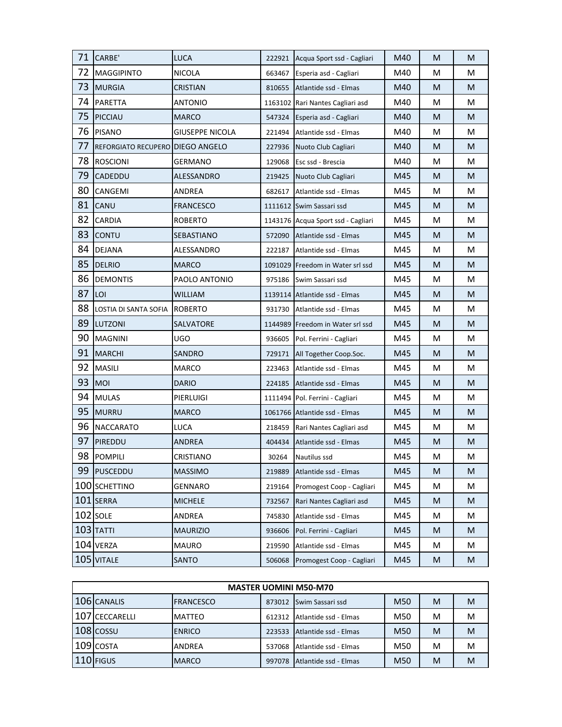| 71 | CARBE'                           | <b>LUCA</b>            |        | 222921 Acqua Sport ssd - Cagliari  | M40 | M | M |
|----|----------------------------------|------------------------|--------|------------------------------------|-----|---|---|
| 72 | <b>MAGGIPINTO</b>                | <b>NICOLA</b>          | 663467 | Esperia asd - Cagliari             | M40 | M | М |
| 73 | <b>MURGIA</b>                    | <b>CRISTIAN</b>        | 810655 | Atlantide ssd - Elmas              | M40 | M | M |
| 74 | <b>PARETTA</b>                   | <b>ANTONIO</b>         |        | 1163102 Rari Nantes Cagliari asd   | M40 | M | M |
| 75 | <b>PICCIAU</b>                   | <b>MARCO</b>           | 547324 | Esperia asd - Cagliari             | M40 | M | M |
| 76 | <b>PISANO</b>                    | <b>GIUSEPPE NICOLA</b> | 221494 | Atlantide ssd - Elmas              | M40 | M | M |
| 77 | REFORGIATO RECUPERO DIEGO ANGELO |                        | 227936 | Nuoto Club Cagliari                | M40 | M | M |
| 78 | <b>ROSCIONI</b>                  | GERMANO                |        | 129068 Esc ssd - Brescia           | M40 | M | М |
| 79 | <b>CADEDDU</b>                   | ALESSANDRO             |        | 219425 Nuoto Club Cagliari         | M45 | M | M |
| 80 | CANGEMI                          | ANDREA                 | 682617 | Atlantide ssd - Elmas              | M45 | M | M |
| 81 | CANU                             | <b>FRANCESCO</b>       |        | 1111612 Swim Sassari ssd           | M45 | M | M |
| 82 | <b>CARDIA</b>                    | ROBERTO                |        | 1143176 Acqua Sport ssd - Cagliari | M45 | M | М |
| 83 | <b>CONTU</b>                     | SEBASTIANO             |        | 572090 Atlantide ssd - Elmas       | M45 | M | M |
| 84 | <b>DEJANA</b>                    | ALESSANDRO             |        | 222187 Atlantide ssd - Elmas       | M45 | M | M |
| 85 | <b>DELRIO</b>                    | <b>MARCO</b>           |        | 1091029 Freedom in Water srl ssd   | M45 | M | M |
| 86 | <b>DEMONTIS</b>                  | PAOLO ANTONIO          |        | 975186 Swim Sassari ssd            | M45 | M | М |
| 87 | LOI                              | <b>WILLIAM</b>         |        | 1139114 Atlantide ssd - Elmas      | M45 | M | M |
| 88 | LOSTIA DI SANTA SOFIA            | <b>ROBERTO</b>         |        | 931730 Atlantide ssd - Elmas       | M45 | M | М |
| 89 | LUTZONI                          | SALVATORE              |        | 1144989 Freedom in Water srl ssd   | M45 | M | M |
| 90 | <b>MAGNINI</b>                   | UGO                    | 936605 | Pol. Ferrini - Cagliari            | M45 | M | M |
| 91 | <b>MARCHI</b>                    | SANDRO                 |        | 729171   All Together Coop.Soc.    | M45 | M | M |
| 92 | <b>MASILI</b>                    | <b>MARCO</b>           | 223463 | Atlantide ssd - Elmas              | M45 | M | M |
| 93 | <b>MOI</b>                       | <b>DARIO</b>           | 224185 | Atlantide ssd - Elmas              | M45 | M | M |
| 94 | <b>MULAS</b>                     | PIERLUIGI              |        | 1111494 Pol. Ferrini - Cagliari    | M45 | M | М |
| 95 | <b>MURRU</b>                     | <b>MARCO</b>           |        | 1061766 Atlantide ssd - Elmas      | M45 | M | M |
| 96 | <b>NACCARATO</b>                 | LUCA                   | 218459 | Rari Nantes Cagliari asd           | M45 | M | M |
| 97 | PIREDDU                          | ANDREA                 |        | 404434 Atlantide ssd - Elmas       | M45 | M | M |
| 98 | POMPILI                          | CRISTIANO              | 30264  | Nautilus ssd                       | M45 | M | M |
|    | 99 PUSCEDDU                      | <b>MASSIMO</b>         | 219889 | Atlantide ssd - Elmas              | M45 | M | M |
|    | 100 SCHETTINO                    | <b>GENNARO</b>         | 219164 | Promogest Coop - Cagliari          | M45 | M | M |
|    | 101 SERRA                        | <b>MICHELE</b>         | 732567 | Rari Nantes Cagliari asd           | M45 | M | M |
|    | $102$ SOLE                       | ANDREA                 | 745830 | Atlantide ssd - Elmas              | M45 | M | М |
|    | $103$ TATTI                      | <b>MAURIZIO</b>        | 936606 | Pol. Ferrini - Cagliari            | M45 | M | M |
|    | 104 VERZA                        | <b>MAURO</b>           | 219590 | Atlantide ssd - Elmas              | M45 | M | M |
|    | 105 VITALE                       | SANTO                  | 506068 | Promogest Coop - Cagliari          | M45 | M | M |

| <b>MASTER UOMINI M50-M70</b> |                |                  |        |                       |     |   |   |  |  |
|------------------------------|----------------|------------------|--------|-----------------------|-----|---|---|--|--|
|                              | 106 CANALIS    | <b>FRANCESCO</b> | 873012 | Swim Sassari ssd      | M50 | M | M |  |  |
|                              | 107 CECCARELLI | <b>MATTEO</b>    | 612312 | Atlantide ssd - Elmas | M50 | M | M |  |  |
|                              | $108$ $\cos$   | <b>ENRICO</b>    | 223533 | Atlantide ssd - Elmas | M50 | M | M |  |  |
|                              | $109$ COSTA    | <b>ANDREA</b>    | 537068 | Atlantide ssd - Elmas | M50 | M | M |  |  |
|                              | $110$ FIGUS    | <b>IMARCO</b>    | 997078 | Atlantide ssd - Elmas | M50 | M | M |  |  |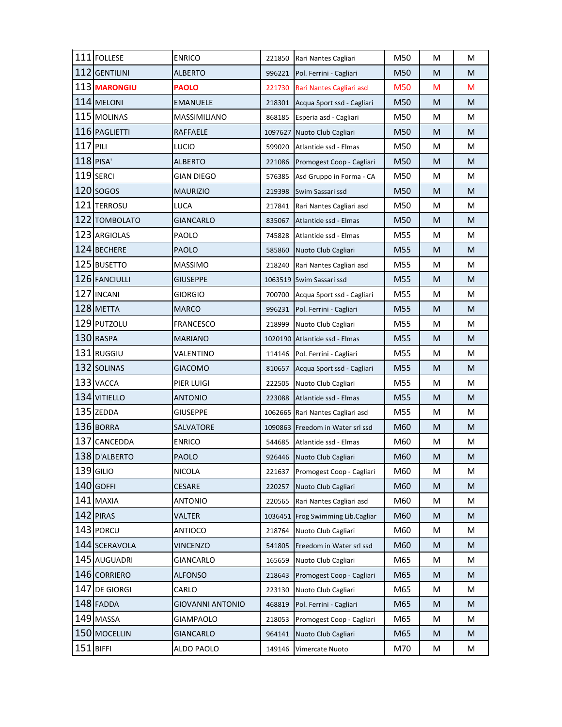|            | 111 FOLLESE   | <b>ENRICO</b>           | 221850  | Rari Nantes Cagliari             | M50 | M | M         |
|------------|---------------|-------------------------|---------|----------------------------------|-----|---|-----------|
|            | 112 GENTILINI | <b>ALBERTO</b>          | 996221  | Pol. Ferrini - Cagliari          | M50 | M | M         |
|            | 113 MARONGIU  | <b>PAOLO</b>            | 221730  | Rari Nantes Cagliari asd         | M50 | M | M         |
|            | 114 MELONI    | <b>EMANUELE</b>         | 218301  | Acqua Sport ssd - Cagliari       | M50 | M | M         |
|            | 115 MOLINAS   | MASSIMILIANO            | 868185  | Esperia asd - Cagliari           | M50 | М | M         |
|            | 116 PAGLIETTI | RAFFAELE                |         | 1097627 Nuoto Club Cagliari      | M50 | M | M         |
| $117$ PILI |               | LUCIO                   | 599020  | Atlantide ssd - Elmas            | M50 | M | M         |
|            | $118$ PISA'   | <b>ALBERTO</b>          | 221086  | Promogest Coop - Cagliari        | M50 | M | M         |
|            | 119 SERCI     | GIAN DIEGO              | 576385  | Asd Gruppo in Forma - CA         | M50 | М | M         |
|            | $120$ sogos   | <b>MAURIZIO</b>         | 219398  | Swim Sassari ssd                 | M50 | M | M         |
|            | 121 TERROSU   | LUCA                    | 217841  | Rari Nantes Cagliari asd         | M50 | М | M         |
|            | 122 TOMBOLATO | <b>GIANCARLO</b>        | 835067  | Atlantide ssd - Elmas            | M50 | M | M         |
|            | 123 ARGIOLAS  | PAOLO                   | 745828  | Atlantide ssd - Elmas            | M55 | M | M         |
|            | 124 BECHERE   | <b>PAOLO</b>            | 585860  | Nuoto Club Cagliari              | M55 | M | M         |
|            | 125 BUSETTO   | <b>MASSIMO</b>          | 218240  | Rari Nantes Cagliari asd         | M55 | М | М         |
|            | 126 FANCIULLI | <b>GIUSEPPE</b>         |         | 1063519 Swim Sassari ssd         | M55 | M | M         |
|            | 127 INCANI    | <b>GIORGIO</b>          | 700700  | Acqua Sport ssd - Cagliari       | M55 | M | M         |
|            | 128 METTA     | <b>MARCO</b>            | 996231  | Pol. Ferrini - Cagliari          | M55 | M | M         |
|            | 129 PUTZOLU   | <b>FRANCESCO</b>        | 218999  | Nuoto Club Cagliari              | M55 | М | M         |
|            | 130 RASPA     | <b>MARIANO</b>          |         | 1020190 Atlantide ssd - Elmas    | M55 | M | M         |
|            | 131 RUGGIU    | VALENTINO               | 114146  | Pol. Ferrini - Cagliari          | M55 | M | M         |
|            | 132 SOLINAS   | <b>GIACOMO</b>          | 810657  | Acqua Sport ssd - Cagliari       | M55 | M | M         |
|            | 133 VACCA     | PIER LUIGI              | 222505  | Nuoto Club Cagliari              | M55 | M | M         |
|            | 134 VITIELLO  | <b>ANTONIO</b>          | 223088  | Atlantide ssd - Elmas            | M55 | M | M         |
|            | 135 ZEDDA     | <b>GIUSEPPE</b>         |         | 1062665 Rari Nantes Cagliari asd | M55 | М | M         |
|            | 136 BORRA     | SALVATORE               |         | 1090863 Freedom in Water srl ssd | M60 | M | ${\sf M}$ |
|            | 137 CANCEDDA  | <b>ENRICO</b>           | 544685  | Atlantide ssd - Elmas            | M60 | M | M         |
|            | 138 D'ALBERTO | <b>PAOLO</b>            |         | 926446 Nuoto Club Cagliari       | M60 | M | M         |
|            | 139 GILIO     | <b>NICOLA</b>           | 221637  | Promogest Coop - Cagliari        | M60 | M | М         |
|            | 140 GOFFI     | <b>CESARE</b>           | 220257  | Nuoto Club Cagliari              | M60 | M | M         |
|            | 141 MAXIA     | <b>ANTONIO</b>          | 220565  | Rari Nantes Cagliari asd         | M60 | M | M         |
|            | 142 PIRAS     | <b>VALTER</b>           | 1036451 | Frog Swimming Lib.Cagliar        | M60 | M | M         |
|            | 143 PORCU     | ANTIOCO                 | 218764  | Nuoto Club Cagliari              | M60 | M | M         |
|            | 144 SCERAVOLA | <b>VINCENZO</b>         | 541805  | Freedom in Water srl ssd         | M60 | M | M         |
|            | 145 AUGUADRI  | <b>GIANCARLO</b>        | 165659  | Nuoto Club Cagliari              | M65 | M | M         |
|            | 146 CORRIERO  | <b>ALFONSO</b>          | 218643  | Promogest Coop - Cagliari        | M65 | M | M         |
|            | 147 DE GIORGI | CARLO                   | 223130  | Nuoto Club Cagliari              | M65 | М | M         |
|            | 148 FADDA     | <b>GIOVANNI ANTONIO</b> | 468819  | Pol. Ferrini - Cagliari          | M65 | M | M         |
|            | 149 MASSA     | <b>GIAMPAOLO</b>        | 218053  | Promogest Coop - Cagliari        | M65 | M | M         |
|            | 150 MOCELLIN  | <b>GIANCARLO</b>        | 964141  | Nuoto Club Cagliari              | M65 | M | M         |
|            | $151$ BIFFI   | ALDO PAOLO              | 149146  | Vimercate Nuoto                  | M70 | M | M         |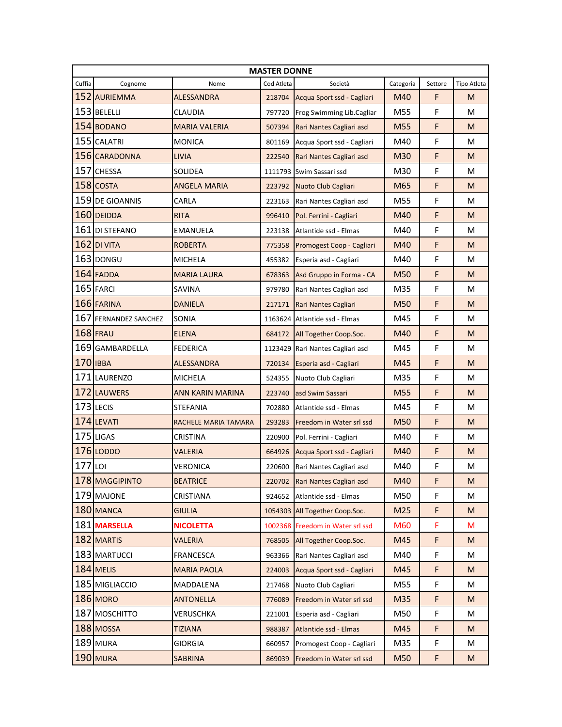| <b>MASTER DONNE</b> |                       |                         |            |                                  |           |         |             |  |
|---------------------|-----------------------|-------------------------|------------|----------------------------------|-----------|---------|-------------|--|
| Cuffia              | Cognome               | Nome                    | Cod Atleta | Società                          | Categoria | Settore | Tipo Atleta |  |
|                     | 152 AURIEMMA          | <b>ALESSANDRA</b>       | 218704     | Acqua Sport ssd - Cagliari       | M40       | F       | M           |  |
|                     | 153 BELELLI           | CLAUDIA                 | 797720     | Frog Swimming Lib.Cagliar        | M55       | F       | M           |  |
|                     | 154 BODANO            | <b>MARIA VALERIA</b>    | 507394     | Rari Nantes Cagliari asd         | M55       | F       | M           |  |
|                     | 155 CALATRI           | <b>MONICA</b>           | 801169     | Acqua Sport ssd - Cagliari       | M40       | F       | М           |  |
|                     | 156 CARADONNA         | LIVIA                   | 222540     | Rari Nantes Cagliari asd         | M30       | F       | M           |  |
|                     | 157 CHESSA            | SOLIDEA                 |            | 1111793 Swim Sassari ssd         | M30       | F       | M           |  |
|                     | 158 COSTA             | <b>ANGELA MARIA</b>     | 223792     | <b>Nuoto Club Cagliari</b>       | M65       | F       | M           |  |
|                     | 159 DE GIOANNIS       | CARLA                   | 223163     | Rari Nantes Cagliari asd         | M55       | F       | M           |  |
|                     | 160 DEIDDA            | <b>RITA</b>             | 996410     | Pol. Ferrini - Cagliari          | M40       | F       | M           |  |
|                     | 161 DI STEFANO        | <b>EMANUELA</b>         | 223138     | Atlantide ssd - Elmas            | M40       | F       | M           |  |
|                     | $162$ DI VITA         | <b>ROBERTA</b>          | 775358     | Promogest Coop - Cagliari        | M40       | F       | M           |  |
|                     | 163 DONGU             | <b>MICHELA</b>          | 455382     | Esperia asd - Cagliari           | M40       | F       | M           |  |
|                     | 164 FADDA             | <b>MARIA LAURA</b>      | 678363     | Asd Gruppo in Forma - CA         | M50       | F       | M           |  |
|                     | $165$ FARCI           | <b>SAVINA</b>           | 979780     | Rari Nantes Cagliari asd         | M35       | F       | M           |  |
|                     | 166 FARINA            | <b>DANIELA</b>          | 217171     | Rari Nantes Cagliari             | M50       | F       | M           |  |
|                     | 167 FERNANDEZ SANCHEZ | SONIA                   |            | 1163624 Atlantide ssd - Elmas    | M45       | F       | M           |  |
|                     | <b>168 FRAU</b>       | <b>ELENA</b>            | 684172     | All Together Coop.Soc.           | M40       | F       | M           |  |
|                     | 169 GAMBARDELLA       | <b>FEDERICA</b>         |            | 1123429 Rari Nantes Cagliari asd | M45       | F       | M           |  |
|                     | $170$ IBBA            | ALESSANDRA              | 720134     | Esperia asd - Cagliari           | M45       | F       | M           |  |
|                     | 171 LAURENZO          | <b>MICHELA</b>          | 524355     | Nuoto Club Cagliari              | M35       | F       | м           |  |
|                     | 172 LAUWERS           | <b>ANN KARIN MARINA</b> | 223740     | asd Swim Sassari                 | M55       | F       | M           |  |
|                     | 173 LECIS             | STEFANIA                | 702880     | Atlantide ssd - Elmas            | M45       | F       | M           |  |
|                     | 174 LEVATI            | RACHELE MARIA TAMARA    | 293283     | Freedom in Water srl ssd         | M50       | F       | M           |  |
|                     | 175 LIGAS             | <b>CRISTINA</b>         | 220900     | Pol. Ferrini - Cagliari          | M40       | F       | M           |  |
|                     | 176 LODDO             | <b>VALERIA</b>          | 664926     | Acqua Sport ssd - Cagliari       | M40       | F       | M           |  |
| $177$ LOI           |                       | <b>VERONICA</b>         | 220600     | Rari Nantes Cagliari asd         | M40       | F       | M           |  |
|                     | 178 MAGGIPINTO        | <b>BEATRICE</b>         | 220702     | Rari Nantes Cagliari asd         | M40       | F       | M           |  |
|                     | 179 MAJONE            | CRISTIANA               | 924652     | Atlantide ssd - Elmas            | M50       | F       | М           |  |
|                     | 180 MANCA             | <b>GIULIA</b>           |            | 1054303 All Together Coop.Soc.   | M25       | F       | M           |  |
|                     | 181 MARSELLA          | <b>NICOLETTA</b>        |            | 1002368 Freedom in Water srl ssd | M60       | F       | M           |  |
|                     | 182 MARTIS            | VALERIA                 | 768505     | All Together Coop.Soc.           | M45       | F       | M           |  |
|                     | 183 MARTUCCI          | <b>FRANCESCA</b>        | 963366     | Rari Nantes Cagliari asd         | M40       | F       | М           |  |
|                     | 184 MELIS             | <b>MARIA PAOLA</b>      | 224003     | Acqua Sport ssd - Cagliari       | M45       | F       | M           |  |
|                     | 185 MIGLIACCIO        | MADDALENA               | 217468     | Nuoto Club Cagliari              | M55       | F       | М           |  |
|                     | 186 MORO              | <b>ANTONELLA</b>        | 776089     | Freedom in Water srl ssd         | M35       | F       | M           |  |
|                     | 187 MOSCHITTO         | VERUSCHKA               | 221001     | Esperia asd - Cagliari           | M50       | F       | М           |  |
|                     | 188 MOSSA             | <b>TIZIANA</b>          | 988387     | Atlantide ssd - Elmas            | M45       | F       | M           |  |
|                     | 189 MURA              | <b>GIORGIA</b>          | 660957     | Promogest Coop - Cagliari        | M35       | F       | М           |  |
|                     | 190 MURA              | <b>SABRINA</b>          | 869039     | Freedom in Water srl ssd         | M50       | F       | M           |  |